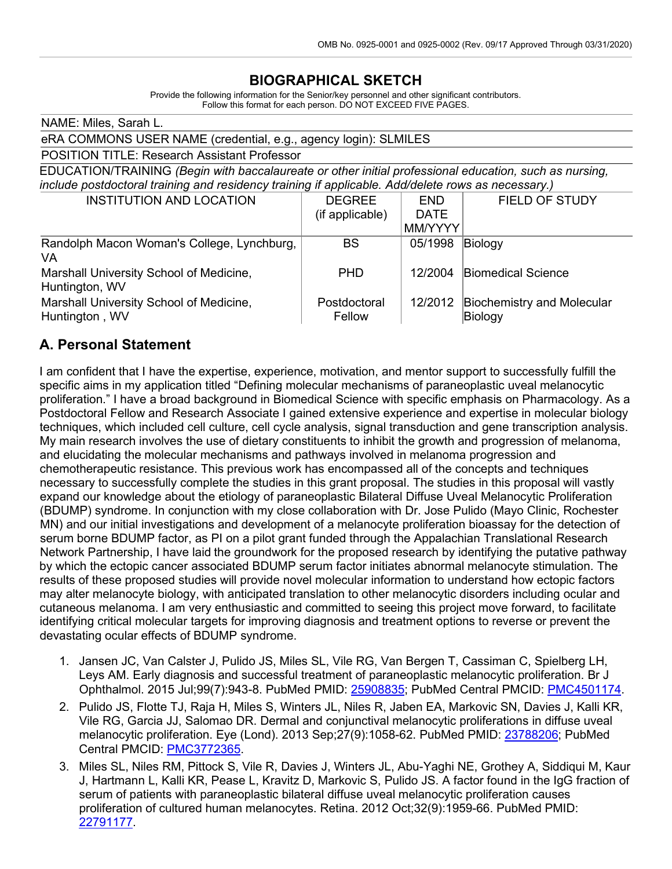### **BIOGRAPHICAL SKETCH**

Provide the following information for the Senior/key personnel and other significant contributors. Follow this format for each person. DO NOT EXCEED FIVE PAGES.

| NAME: Miles, Sarah L.                                                                                  |                 |             |                                   |
|--------------------------------------------------------------------------------------------------------|-----------------|-------------|-----------------------------------|
| eRA COMMONS USER NAME (credential, e.g., agency login): SLMILES                                        |                 |             |                                   |
| <b>POSITION TITLE: Research Assistant Professor</b>                                                    |                 |             |                                   |
| EDUCATION/TRAINING (Begin with baccalaureate or other initial professional education, such as nursing, |                 |             |                                   |
| include postdoctoral training and residency training if applicable. Add/delete rows as necessary.)     |                 |             |                                   |
| <b>INSTITUTION AND LOCATION</b>                                                                        | <b>DEGREE</b>   | END.        | <b>FIELD OF STUDY</b>             |
|                                                                                                        | (if applicable) | <b>DATE</b> |                                   |
|                                                                                                        |                 | MM/YYYY     |                                   |
| Randolph Macon Woman's College, Lynchburg,                                                             | BS              | 05/1998     | Biology                           |
| VA                                                                                                     |                 |             |                                   |
| Marshall University School of Medicine,                                                                | <b>PHD</b>      | 12/2004     | <b>Biomedical Science</b>         |
| Huntington, WV                                                                                         |                 |             |                                   |
| Marshall University School of Medicine,                                                                | Postdoctoral    | 12/2012     | <b>Biochemistry and Molecular</b> |
| Huntington, WV                                                                                         | Fellow          |             | Biology                           |

#### **A. Personal Statement**

I am confident that I have the expertise, experience, motivation, and mentor support to successfully fulfill the specific aims in my application titled "Defining molecular mechanisms of paraneoplastic uveal melanocytic proliferation." I have a broad background in Biomedical Science with specific emphasis on Pharmacology. As a Postdoctoral Fellow and Research Associate I gained extensive experience and expertise in molecular biology techniques, which included cell culture, cell cycle analysis, signal transduction and gene transcription analysis. My main research involves the use of dietary constituents to inhibit the growth and progression of melanoma, and elucidating the molecular mechanisms and pathways involved in melanoma progression and chemotherapeutic resistance. This previous work has encompassed all of the concepts and techniques necessary to successfully complete the studies in this grant proposal. The studies in this proposal will vastly expand our knowledge about the etiology of paraneoplastic Bilateral Diffuse Uveal Melanocytic Proliferation (BDUMP) syndrome. In conjunction with my close collaboration with Dr. Jose Pulido (Mayo Clinic, Rochester MN) and our initial investigations and development of a melanocyte proliferation bioassay for the detection of serum borne BDUMP factor, as PI on a pilot grant funded through the Appalachian Translational Research Network Partnership, I have laid the groundwork for the proposed research by identifying the putative pathway by which the ectopic cancer associated BDUMP serum factor initiates abnormal melanocyte stimulation. The results of these proposed studies will provide novel molecular information to understand how ectopic factors may alter melanocyte biology, with anticipated translation to other melanocytic disorders including ocular and cutaneous melanoma. I am very enthusiastic and committed to seeing this project move forward, to facilitate identifying critical molecular targets for improving diagnosis and treatment options to reverse or prevent the devastating ocular effects of BDUMP syndrome.

- 1. Jansen JC, Van Calster J, Pulido JS, Miles SL, Vile RG, Van Bergen T, Cassiman C, Spielberg LH, Leys AM. Early diagnosis and successful treatment of paraneoplastic melanocytic proliferation. Br J Ophthalmol. 2015 Jul;99(7):943-8. PubMed PMID: [25908835;](http://www.ncbi.nlm.nih.gov/pubmed/25908835/) PubMed Central PMCID: [PMC4501174.](http://www.ncbi.nlm.nih.gov/pmc/articles/PMC4501174/)
- 2. Pulido JS, Flotte TJ, Raja H, Miles S, Winters JL, Niles R, Jaben EA, Markovic SN, Davies J, Kalli KR, Vile RG, Garcia JJ, Salomao DR. Dermal and conjunctival melanocytic proliferations in diffuse uveal melanocytic proliferation. Eye (Lond). 2013 Sep;27(9):1058-62. PubMed PMID: [23788206;](http://www.ncbi.nlm.nih.gov/pubmed/23788206/) PubMed Central PMCID: [PMC3772365.](http://www.ncbi.nlm.nih.gov/pmc/articles/PMC3772365/)
- 3. Miles SL, Niles RM, Pittock S, Vile R, Davies J, Winters JL, Abu-Yaghi NE, Grothey A, Siddiqui M, Kaur J, Hartmann L, Kalli KR, Pease L, Kravitz D, Markovic S, Pulido JS. A factor found in the IgG fraction of serum of patients with paraneoplastic bilateral diffuse uveal melanocytic proliferation causes proliferation of cultured human melanocytes. Retina. 2012 Oct;32(9):1959-66. PubMed PMID: [22791177.](http://www.ncbi.nlm.nih.gov/pubmed/22791177/)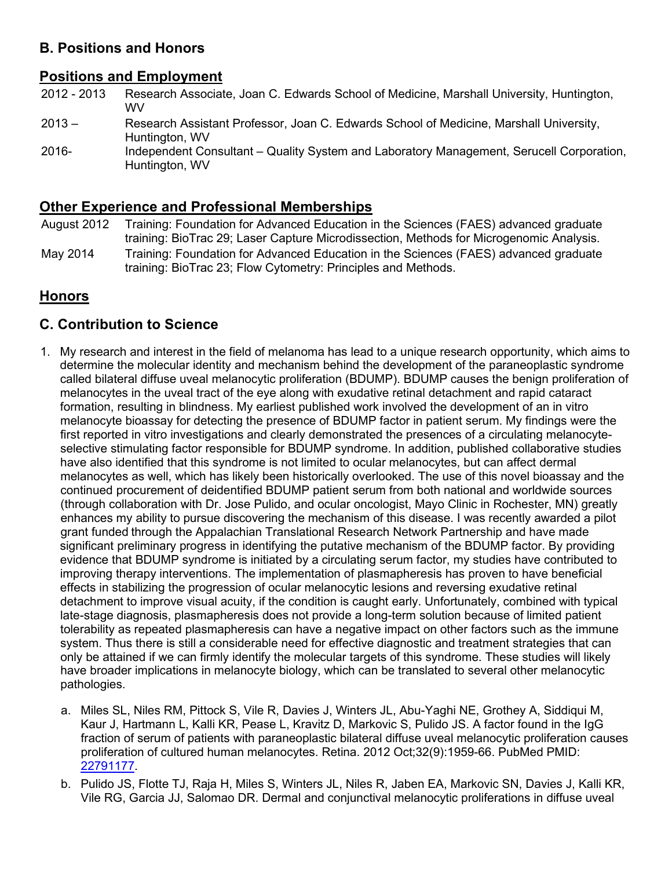#### **B. Positions and Honors**

## **Positions and Employment**

| 2012 - 2013 | Research Associate, Joan C. Edwards School of Medicine, Marshall University, Huntington,<br>WV.            |
|-------------|------------------------------------------------------------------------------------------------------------|
| $2013 -$    | Research Assistant Professor, Joan C. Edwards School of Medicine, Marshall University,<br>Huntington, WV   |
| 2016-       | Independent Consultant – Quality System and Laboratory Management, Serucell Corporation,<br>Huntington, WV |

#### **Other Experience and Professional Memberships**

August 2012 Training: Foundation for Advanced Education in the Sciences (FAES) advanced graduate training: BioTrac 29; Laser Capture Microdissection, Methods for Microgenomic Analysis.

May 2014 Training: Foundation for Advanced Education in the Sciences (FAES) advanced graduate training: BioTrac 23; Flow Cytometry: Principles and Methods.

## **Honors**

## **C. Contribution to Science**

- 1. My research and interest in the field of melanoma has lead to a unique research opportunity, which aims to determine the molecular identity and mechanism behind the development of the paraneoplastic syndrome called bilateral diffuse uveal melanocytic proliferation (BDUMP). BDUMP causes the benign proliferation of melanocytes in the uveal tract of the eye along with exudative retinal detachment and rapid cataract formation, resulting in blindness. My earliest published work involved the development of an in vitro melanocyte bioassay for detecting the presence of BDUMP factor in patient serum. My findings were the first reported in vitro investigations and clearly demonstrated the presences of a circulating melanocyteselective stimulating factor responsible for BDUMP syndrome. In addition, published collaborative studies have also identified that this syndrome is not limited to ocular melanocytes, but can affect dermal melanocytes as well, which has likely been historically overlooked. The use of this novel bioassay and the continued procurement of deidentified BDUMP patient serum from both national and worldwide sources (through collaboration with Dr. Jose Pulido, and ocular oncologist, Mayo Clinic in Rochester, MN) greatly enhances my ability to pursue discovering the mechanism of this disease. I was recently awarded a pilot grant funded through the Appalachian Translational Research Network Partnership and have made significant preliminary progress in identifying the putative mechanism of the BDUMP factor. By providing evidence that BDUMP syndrome is initiated by a circulating serum factor, my studies have contributed to improving therapy interventions. The implementation of plasmapheresis has proven to have beneficial effects in stabilizing the progression of ocular melanocytic lesions and reversing exudative retinal detachment to improve visual acuity, if the condition is caught early. Unfortunately, combined with typical late-stage diagnosis, plasmapheresis does not provide a long-term solution because of limited patient tolerability as repeated plasmapheresis can have a negative impact on other factors such as the immune system. Thus there is still a considerable need for effective diagnostic and treatment strategies that can only be attained if we can firmly identify the molecular targets of this syndrome. These studies will likely have broader implications in melanocyte biology, which can be translated to several other melanocytic pathologies.
	- a. Miles SL, Niles RM, Pittock S, Vile R, Davies J, Winters JL, Abu-Yaghi NE, Grothey A, Siddiqui M, Kaur J, Hartmann L, Kalli KR, Pease L, Kravitz D, Markovic S, Pulido JS. A factor found in the IgG fraction of serum of patients with paraneoplastic bilateral diffuse uveal melanocytic proliferation causes proliferation of cultured human melanocytes. Retina. 2012 Oct;32(9):1959-66. PubMed PMID: [22791177.](http://www.ncbi.nlm.nih.gov/pubmed/22791177/)
	- b. Pulido JS, Flotte TJ, Raja H, Miles S, Winters JL, Niles R, Jaben EA, Markovic SN, Davies J, Kalli KR, Vile RG, Garcia JJ, Salomao DR. Dermal and conjunctival melanocytic proliferations in diffuse uveal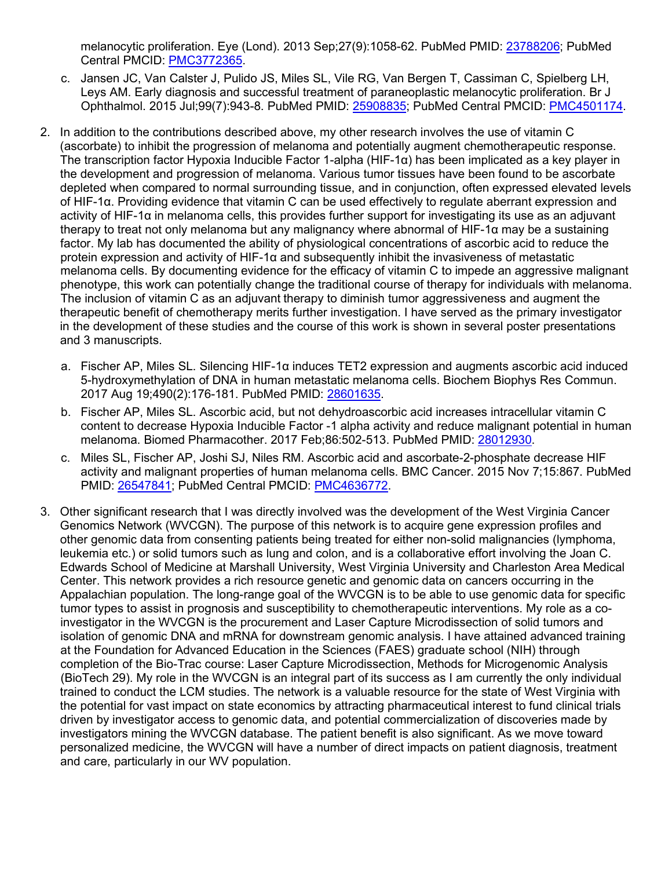melanocytic proliferation. Eye (Lond). 2013 Sep;27(9):1058-62. PubMed PMID: [23788206;](http://www.ncbi.nlm.nih.gov/pubmed/23788206/) PubMed Central PMCID: [PMC3772365.](http://www.ncbi.nlm.nih.gov/pmc/articles/PMC3772365/)

- c. Jansen JC, Van Calster J, Pulido JS, Miles SL, Vile RG, Van Bergen T, Cassiman C, Spielberg LH, Leys AM. Early diagnosis and successful treatment of paraneoplastic melanocytic proliferation. Br J Ophthalmol. 2015 Jul;99(7):943-8. PubMed PMID: [25908835;](http://www.ncbi.nlm.nih.gov/pubmed/25908835/) PubMed Central PMCID: [PMC4501174.](http://www.ncbi.nlm.nih.gov/pmc/articles/PMC4501174/)
- 2. In addition to the contributions described above, my other research involves the use of vitamin C (ascorbate) to inhibit the progression of melanoma and potentially augment chemotherapeutic response. The transcription factor Hypoxia Inducible Factor 1-alpha (HIF-1α) has been implicated as a key player in the development and progression of melanoma. Various tumor tissues have been found to be ascorbate depleted when compared to normal surrounding tissue, and in conjunction, often expressed elevated levels of HIF-1α. Providing evidence that vitamin C can be used effectively to regulate aberrant expression and activity of HIF-1α in melanoma cells, this provides further support for investigating its use as an adjuvant therapy to treat not only melanoma but any malignancy where abnormal of HIF-1α may be a sustaining factor. My lab has documented the ability of physiological concentrations of ascorbic acid to reduce the protein expression and activity of HIF-1α and subsequently inhibit the invasiveness of metastatic melanoma cells. By documenting evidence for the efficacy of vitamin C to impede an aggressive malignant phenotype, this work can potentially change the traditional course of therapy for individuals with melanoma. The inclusion of vitamin C as an adjuvant therapy to diminish tumor aggressiveness and augment the therapeutic benefit of chemotherapy merits further investigation. I have served as the primary investigator in the development of these studies and the course of this work is shown in several poster presentations and 3 manuscripts.
	- a. Fischer AP, Miles SL. Silencing HIF-1α induces TET2 expression and augments ascorbic acid induced 5-hydroxymethylation of DNA in human metastatic melanoma cells. Biochem Biophys Res Commun. 2017 Aug 19;490(2):176-181. PubMed PMID: [28601635.](http://www.ncbi.nlm.nih.gov/pubmed/28601635/)
	- b. Fischer AP, Miles SL. Ascorbic acid, but not dehydroascorbic acid increases intracellular vitamin C content to decrease Hypoxia Inducible Factor -1 alpha activity and reduce malignant potential in human melanoma. Biomed Pharmacother. 2017 Feb;86:502-513. PubMed PMID: [28012930.](http://www.ncbi.nlm.nih.gov/pubmed/28012930/)
	- c. Miles SL, Fischer AP, Joshi SJ, Niles RM. Ascorbic acid and ascorbate-2-phosphate decrease HIF activity and malignant properties of human melanoma cells. BMC Cancer. 2015 Nov 7;15:867. PubMed PMID: [26547841;](http://www.ncbi.nlm.nih.gov/pubmed/26547841/) PubMed Central PMCID: [PMC4636772.](http://www.ncbi.nlm.nih.gov/pmc/articles/PMC4636772/)
- 3. Other significant research that I was directly involved was the development of the West Virginia Cancer Genomics Network (WVCGN). The purpose of this network is to acquire gene expression profiles and other genomic data from consenting patients being treated for either non-solid malignancies (lymphoma, leukemia etc.) or solid tumors such as lung and colon, and is a collaborative effort involving the Joan C. Edwards School of Medicine at Marshall University, West Virginia University and Charleston Area Medical Center. This network provides a rich resource genetic and genomic data on cancers occurring in the Appalachian population. The long-range goal of the WVCGN is to be able to use genomic data for specific tumor types to assist in prognosis and susceptibility to chemotherapeutic interventions. My role as a coinvestigator in the WVCGN is the procurement and Laser Capture Microdissection of solid tumors and isolation of genomic DNA and mRNA for downstream genomic analysis. I have attained advanced training at the Foundation for Advanced Education in the Sciences (FAES) graduate school (NIH) through completion of the Bio-Trac course: Laser Capture Microdissection, Methods for Microgenomic Analysis (BioTech 29). My role in the WVCGN is an integral part of its success as I am currently the only individual trained to conduct the LCM studies. The network is a valuable resource for the state of West Virginia with the potential for vast impact on state economics by attracting pharmaceutical interest to fund clinical trials driven by investigator access to genomic data, and potential commercialization of discoveries made by investigators mining the WVCGN database. The patient benefit is also significant. As we move toward personalized medicine, the WVCGN will have a number of direct impacts on patient diagnosis, treatment and care, particularly in our WV population.